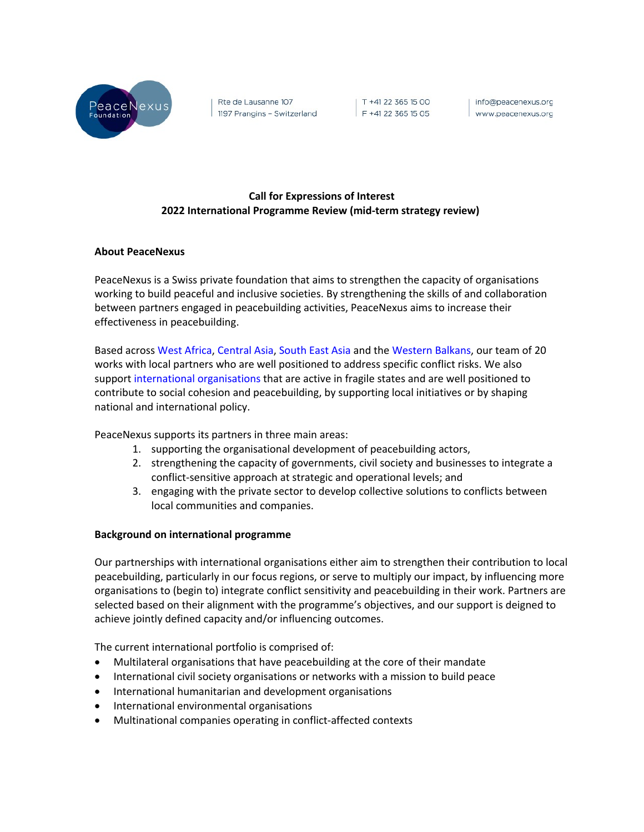

Rte de Lausanne 107 1197 Prangins - Switzerland

| T +41 22 365 15 00 F +41 22 365 15 05

| info@peacenexus.org www.peacenexus.org

# **Call for Expressions of Interest 2022 International Programme Review (mid-term strategy review)**

### **About PeaceNexus**

PeaceNexus is a Swiss private foundation that aims to strengthen the capacity of organisations working to build peaceful and inclusive societies. By strengthening the skills of and collaboration between partners engaged in peacebuilding activities, PeaceNexus aims to increase their effectiveness in peacebuilding.

Based across West Africa, Central Asia, South East Asia and the Western Balkans, our team of 20 works with local partners who are well positioned to address specific conflict risks. We also support international organisations that are active in fragile states and are well positioned to contribute to social cohesion and peacebuilding, by supporting local initiatives or by shaping national and international policy.

PeaceNexus supports its partners in three main areas:

- 1. supporting the organisational development of peacebuilding actors,
- 2. strengthening the capacity of governments, civil society and businesses to integrate a conflict-sensitive approach at strategic and operational levels; and
- 3. engaging with the private sector to develop collective solutions to conflicts between local communities and companies.

### **Background on international programme**

Our partnerships with international organisations either aim to strengthen their contribution to local peacebuilding, particularly in our focus regions, or serve to multiply our impact, by influencing more organisations to (begin to) integrate conflict sensitivity and peacebuilding in their work. Partners are selected based on their alignment with the programme's objectives, and our support is deigned to achieve jointly defined capacity and/or influencing outcomes.

The current international portfolio is comprised of:

- Multilateral organisations that have peacebuilding at the core of their mandate
- International civil society organisations or networks with a mission to build peace
- International humanitarian and development organisations
- International environmental organisations
- Multinational companies operating in conflict-affected contexts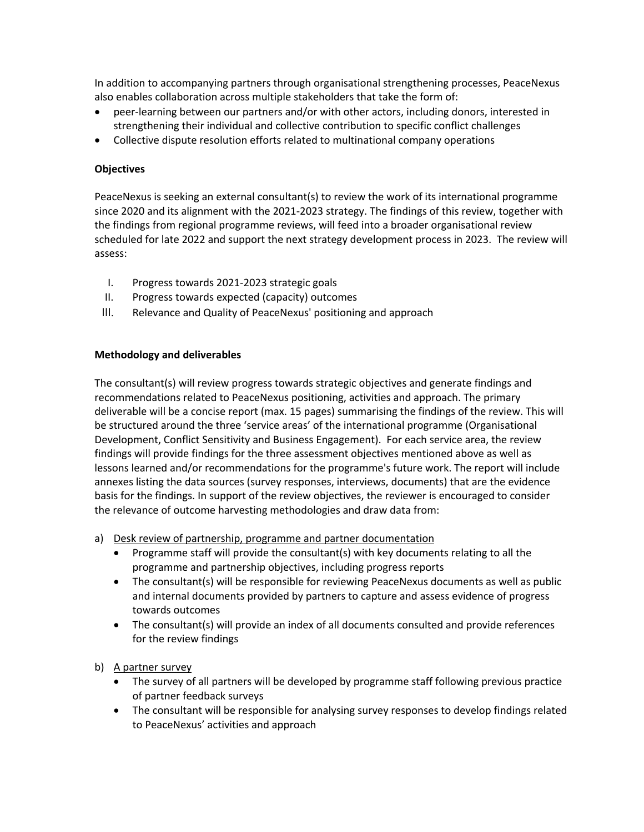In addition to accompanying partners through organisational strengthening processes, PeaceNexus also enables collaboration across multiple stakeholders that take the form of:

- peer-learning between our partners and/or with other actors, including donors, interested in strengthening their individual and collective contribution to specific conflict challenges
- Collective dispute resolution efforts related to multinational company operations

## **Objectives**

PeaceNexus is seeking an external consultant(s) to review the work of its international programme since 2020 and its alignment with the 2021-2023 strategy. The findings of this review, together with the findings from regional programme reviews, will feed into a broader organisational review scheduled for late 2022 and support the next strategy development process in 2023. The review will assess:

- I. Progress towards 2021-2023 strategic goals
- II. Progress towards expected (capacity) outcomes
- III. Relevance and Quality of PeaceNexus' positioning and approach

# **Methodology and deliverables**

The consultant(s) will review progress towards strategic objectives and generate findings and recommendations related to PeaceNexus positioning, activities and approach. The primary deliverable will be a concise report (max. 15 pages) summarising the findings of the review. This will be structured around the three 'service areas' of the international programme (Organisational Development, Conflict Sensitivity and Business Engagement). For each service area, the review findings will provide findings for the three assessment objectives mentioned above as well as lessons learned and/or recommendations for the programme's future work. The report will include annexes listing the data sources (survey responses, interviews, documents) that are the evidence basis for the findings. In support of the review objectives, the reviewer is encouraged to consider the relevance of outcome harvesting methodologies and draw data from:

- a) Desk review of partnership, programme and partner documentation
	- Programme staff will provide the consultant(s) with key documents relating to all the programme and partnership objectives, including progress reports
	- The consultant(s) will be responsible for reviewing PeaceNexus documents as well as public and internal documents provided by partners to capture and assess evidence of progress towards outcomes
	- The consultant(s) will provide an index of all documents consulted and provide references for the review findings
- b) A partner survey
	- The survey of all partners will be developed by programme staff following previous practice of partner feedback surveys
	- The consultant will be responsible for analysing survey responses to develop findings related to PeaceNexus' activities and approach